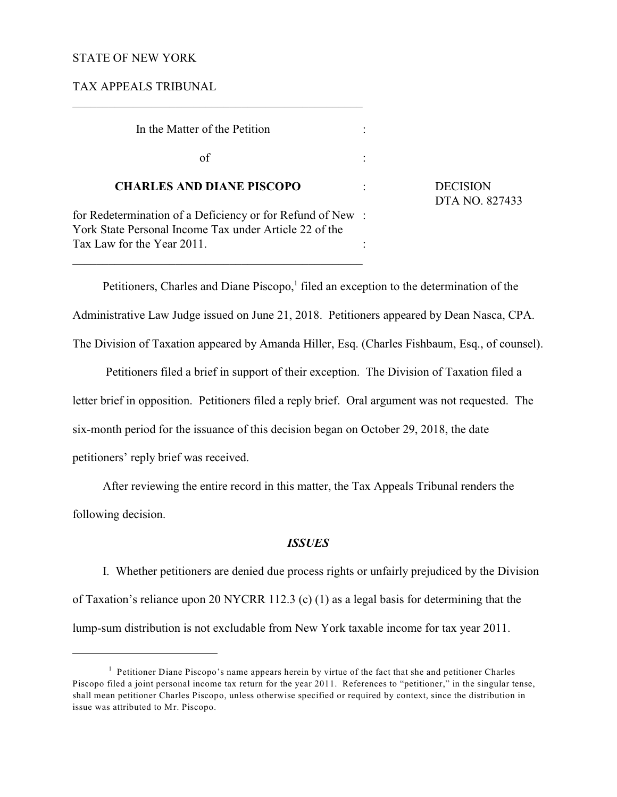# STATE OF NEW YORK

TAX APPEALS TRIBUNAL

| In the Matter of the Petition                                                                                       |  |
|---------------------------------------------------------------------------------------------------------------------|--|
| of                                                                                                                  |  |
| <b>CHARLES AND DIANE PISCOPO</b>                                                                                    |  |
| for Redetermination of a Deficiency or for Refund of New:<br>York State Personal Income Tax under Article 22 of the |  |
| Tax Law for the Year 2011.                                                                                          |  |

 $\mathcal{L}_\mathcal{L} = \{ \mathcal{L}_\mathcal{L} = \{ \mathcal{L}_\mathcal{L} = \{ \mathcal{L}_\mathcal{L} = \{ \mathcal{L}_\mathcal{L} = \{ \mathcal{L}_\mathcal{L} = \{ \mathcal{L}_\mathcal{L} = \{ \mathcal{L}_\mathcal{L} = \{ \mathcal{L}_\mathcal{L} = \{ \mathcal{L}_\mathcal{L} = \{ \mathcal{L}_\mathcal{L} = \{ \mathcal{L}_\mathcal{L} = \{ \mathcal{L}_\mathcal{L} = \{ \mathcal{L}_\mathcal{L} = \{ \mathcal{L}_\mathcal{$ 

\_\_\_\_\_\_\_\_\_\_\_\_\_\_\_\_\_\_\_\_\_\_\_\_\_\_\_\_\_\_\_\_\_\_\_\_\_\_\_\_\_\_\_\_\_\_\_\_

**DECISION** DTA NO. 827433

Petitioners, Charles and Diane Piscopo, $<sup>1</sup>$  filed an exception to the determination of the</sup>

Administrative Law Judge issued on June 21, 2018. Petitioners appeared by Dean Nasca, CPA.

The Division of Taxation appeared by Amanda Hiller, Esq. (Charles Fishbaum, Esq., of counsel).

 Petitioners filed a brief in support of their exception. The Division of Taxation filed a letter brief in opposition. Petitioners filed a reply brief. Oral argument was not requested. The six-month period for the issuance of this decision began on October 29, 2018, the date petitioners' reply brief was received.

After reviewing the entire record in this matter, the Tax Appeals Tribunal renders the following decision.

### *ISSUES*

I. Whether petitioners are denied due process rights or unfairly prejudiced by the Division of Taxation's reliance upon 20 NYCRR 112.3 (c) (1) as a legal basis for determining that the lump-sum distribution is not excludable from New York taxable income for tax year 2011.

 $<sup>1</sup>$  Petitioner Diane Piscopo's name appears herein by virtue of the fact that she and petitioner Charles</sup> Piscopo filed a joint personal income tax return for the year 2011. References to "petitioner," in the singular tense, shall mean petitioner Charles Piscopo, unless otherwise specified or required by context, since the distribution in issue was attributed to Mr. Piscopo.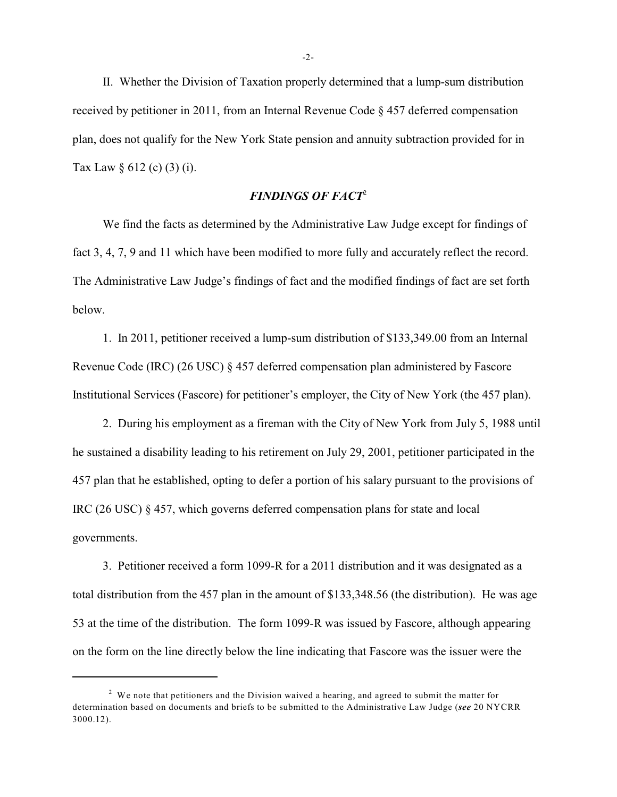II. Whether the Division of Taxation properly determined that a lump-sum distribution received by petitioner in 2011, from an Internal Revenue Code § 457 deferred compensation plan, does not qualify for the New York State pension and annuity subtraction provided for in Tax Law  $\S 612$  (c) (3) (i).

# *FINDINGS OF FACT*<sup>2</sup>

We find the facts as determined by the Administrative Law Judge except for findings of fact 3, 4, 7, 9 and 11 which have been modified to more fully and accurately reflect the record. The Administrative Law Judge's findings of fact and the modified findings of fact are set forth below.

1. In 2011, petitioner received a lump-sum distribution of \$133,349.00 from an Internal Revenue Code (IRC) (26 USC) § 457 deferred compensation plan administered by Fascore Institutional Services (Fascore) for petitioner's employer, the City of New York (the 457 plan).

2. During his employment as a fireman with the City of New York from July 5, 1988 until he sustained a disability leading to his retirement on July 29, 2001, petitioner participated in the 457 plan that he established, opting to defer a portion of his salary pursuant to the provisions of IRC (26 USC) § 457, which governs deferred compensation plans for state and local governments.

3. Petitioner received a form 1099-R for a 2011 distribution and it was designated as a total distribution from the 457 plan in the amount of \$133,348.56 (the distribution). He was age 53 at the time of the distribution. The form 1099-R was issued by Fascore, although appearing on the form on the line directly below the line indicating that Fascore was the issuer were the

 $2$  We note that petitioners and the Division waived a hearing, and agreed to submit the matter for determination based on documents and briefs to be submitted to the Administrative Law Judge (*see* 20 NYCRR 3000.12).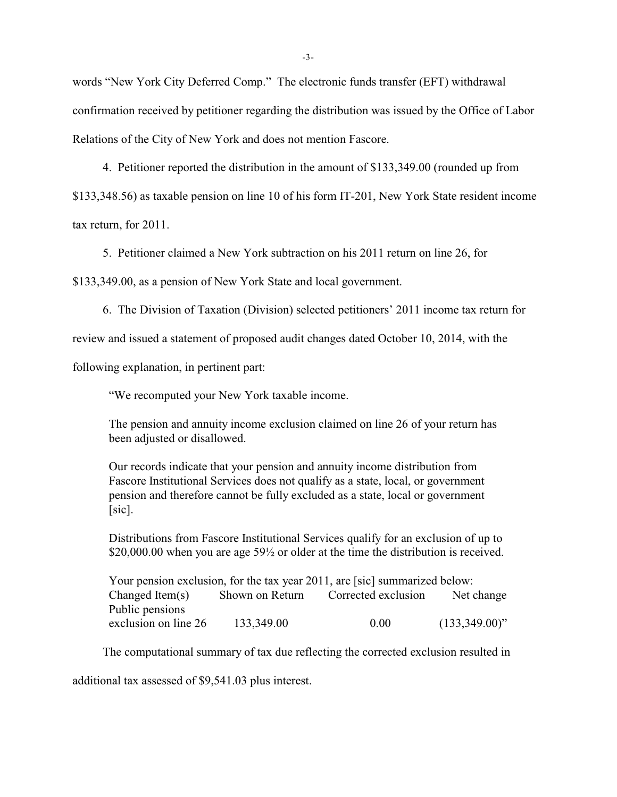words "New York City Deferred Comp." The electronic funds transfer (EFT) withdrawal confirmation received by petitioner regarding the distribution was issued by the Office of Labor Relations of the City of New York and does not mention Fascore.

4. Petitioner reported the distribution in the amount of \$133,349.00 (rounded up from

\$133,348.56) as taxable pension on line 10 of his form IT-201, New York State resident income

tax return, for 2011.

5. Petitioner claimed a New York subtraction on his 2011 return on line 26, for

\$133,349.00, as a pension of New York State and local government.

6. The Division of Taxation (Division) selected petitioners' 2011 income tax return for

review and issued a statement of proposed audit changes dated October 10, 2014, with the

following explanation, in pertinent part:

"We recomputed your New York taxable income.

The pension and annuity income exclusion claimed on line 26 of your return has been adjusted or disallowed.

Our records indicate that your pension and annuity income distribution from Fascore Institutional Services does not qualify as a state, local, or government pension and therefore cannot be fully excluded as a state, local or government  $[sic]$ .

Distributions from Fascore Institutional Services qualify for an exclusion of up to \$20,000.00 when you are age 59<sup>1</sup>/<sub>2</sub> or older at the time the distribution is received.

Your pension exclusion, for the tax year 2011, are [sic] summarized below: Changed Item(s) Shown on Return Corrected exclusion Net change Public pensions exclusion on line 26 133,349.00 0.00 (133,349.00)"

The computational summary of tax due reflecting the corrected exclusion resulted in

additional tax assessed of \$9,541.03 plus interest.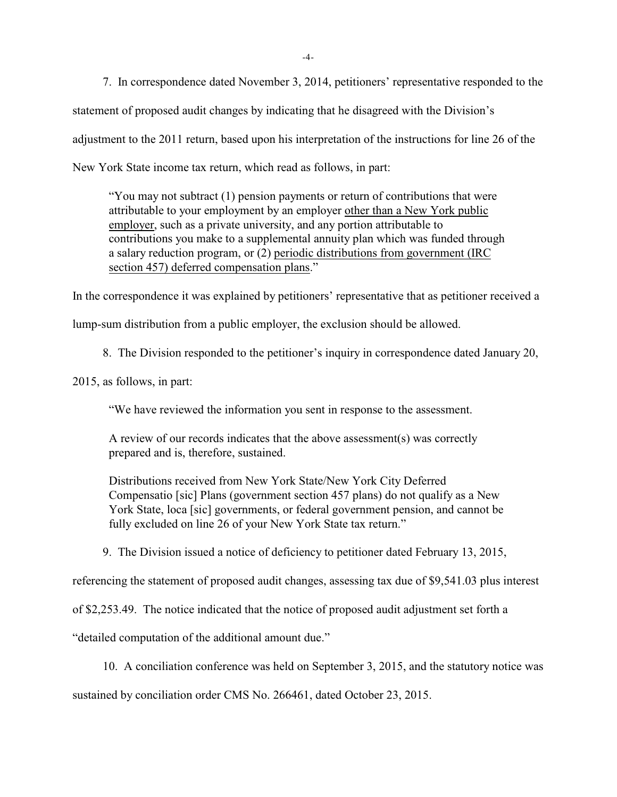7. In correspondence dated November 3, 2014, petitioners' representative responded to the statement of proposed audit changes by indicating that he disagreed with the Division's adjustment to the 2011 return, based upon his interpretation of the instructions for line 26 of the New York State income tax return, which read as follows, in part:

"You may not subtract (1) pension payments or return of contributions that were attributable to your employment by an employer other than a New York public employer, such as a private university, and any portion attributable to contributions you make to a supplemental annuity plan which was funded through a salary reduction program, or (2) periodic distributions from government (IRC section 457) deferred compensation plans."

In the correspondence it was explained by petitioners' representative that as petitioner received a lump-sum distribution from a public employer, the exclusion should be allowed.

8. The Division responded to the petitioner's inquiry in correspondence dated January 20,

2015, as follows, in part:

"We have reviewed the information you sent in response to the assessment.

A review of our records indicates that the above assessment(s) was correctly prepared and is, therefore, sustained.

Distributions received from New York State/New York City Deferred Compensatio [sic] Plans (government section 457 plans) do not qualify as a New York State, loca [sic] governments, or federal government pension, and cannot be fully excluded on line 26 of your New York State tax return."

9. The Division issued a notice of deficiency to petitioner dated February 13, 2015,

referencing the statement of proposed audit changes, assessing tax due of \$9,541.03 plus interest

of \$2,253.49. The notice indicated that the notice of proposed audit adjustment set forth a

"detailed computation of the additional amount due."

10. A conciliation conference was held on September 3, 2015, and the statutory notice was

sustained by conciliation order CMS No. 266461, dated October 23, 2015.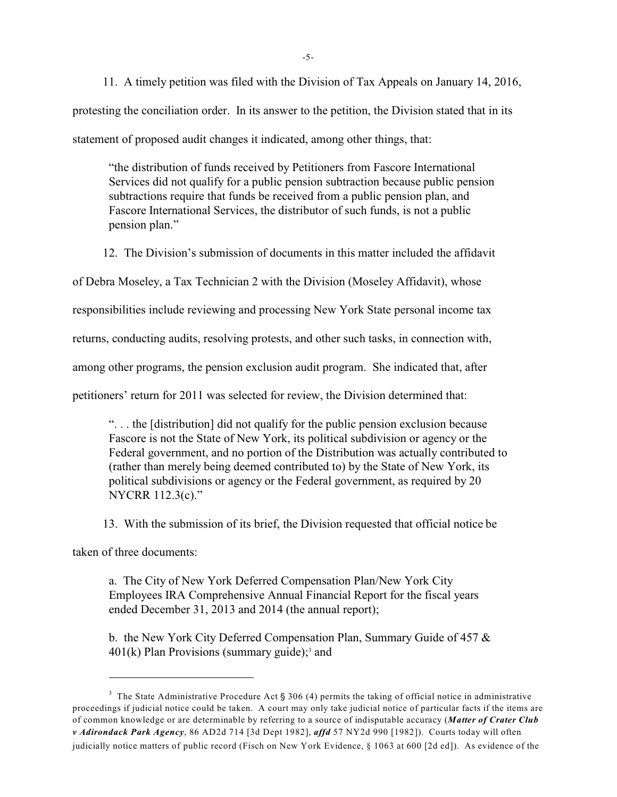11. A timely petition was filed with the Division of Tax Appeals on January 14, 2016, protesting the conciliation order. In its answer to the petition, the Division stated that in its statement of proposed audit changes it indicated, among other things, that:

"the distribution of funds received by Petitioners from Fascore International Services did not qualify for a public pension subtraction because public pension subtractions require that funds be received from a public pension plan, and Fascore International Services, the distributor of such funds, is not a public pension plan."

12. The Division's submission of documents in this matter included the affidavit

of Debra Moseley, a Tax Technician 2 with the Division (Moseley Affidavit), whose

responsibilities include reviewing and processing New York State personal income tax

returns, conducting audits, resolving protests, and other such tasks, in connection with,

among other programs, the pension exclusion audit program. She indicated that, after

petitioners' return for 2011 was selected for review, the Division determined that:

". . . the [distribution] did not qualify for the public pension exclusion because Fascore is not the State of New York, its political subdivision or agency or the Federal government, and no portion of the Distribution was actually contributed to (rather than merely being deemed contributed to) by the State of New York, its political subdivisions or agency or the Federal government, as required by 20 NYCRR 112.3(c)."

13. With the submission of its brief, the Division requested that official notice be

taken of three documents:

a. The City of New York Deferred Compensation Plan/New York City Employees IRA Comprehensive Annual Financial Report for the fiscal years ended December 31, 2013 and 2014 (the annual report);

b. the New York City Deferred Compensation Plan, Summary Guide of 457 &  $401(k)$  Plan Provisions (summary guide);<sup>3</sup> and

<sup>&</sup>lt;sup>3</sup> The State Administrative Procedure Act § 306 (4) permits the taking of official notice in administrative proceedings if judicial notice could be taken. A court may only take judicial notice of particular facts if the items are of common knowledge or are determinable by referring to a source of indisputable accuracy (*Matter of Crater Club v Adirondack Park Agency*, 86 AD2d 714 [3d Dept 1982], *affd* 57 NY2d 990 [1982]). Courts today will often judicially notice matters of public record (Fisch on New York Evidence, § 1063 at 600 [2d ed]). As evidence of the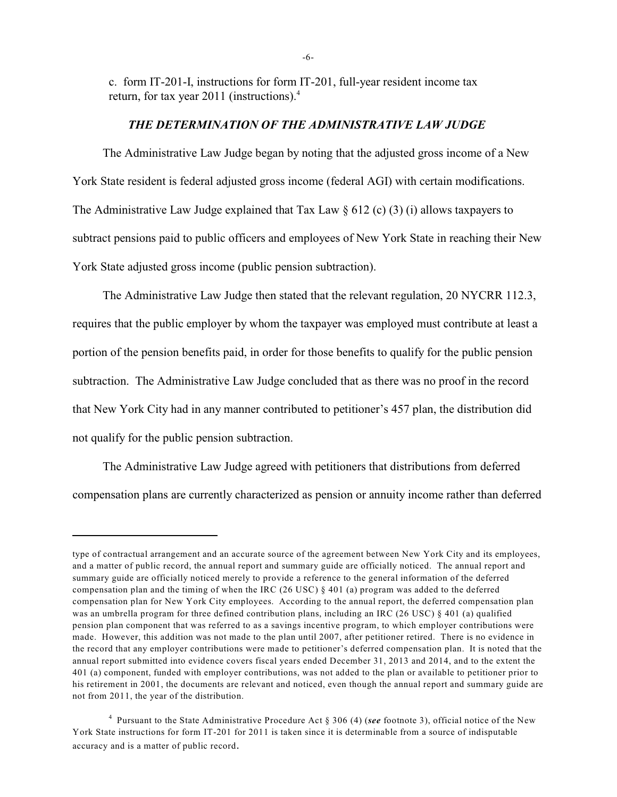c. form IT-201-I, instructions for form IT-201, full-year resident income tax return, for tax year 2011 (instructions).<sup>4</sup>

# *THE DETERMINATION OF THE ADMINISTRATIVE LAW JUDGE*

The Administrative Law Judge began by noting that the adjusted gross income of a New York State resident is federal adjusted gross income (federal AGI) with certain modifications. The Administrative Law Judge explained that Tax Law  $\S 612$  (c) (3) (i) allows taxpayers to subtract pensions paid to public officers and employees of New York State in reaching their New York State adjusted gross income (public pension subtraction).

The Administrative Law Judge then stated that the relevant regulation, 20 NYCRR 112.3, requires that the public employer by whom the taxpayer was employed must contribute at least a portion of the pension benefits paid, in order for those benefits to qualify for the public pension subtraction. The Administrative Law Judge concluded that as there was no proof in the record that New York City had in any manner contributed to petitioner's 457 plan, the distribution did not qualify for the public pension subtraction.

The Administrative Law Judge agreed with petitioners that distributions from deferred compensation plans are currently characterized as pension or annuity income rather than deferred

type of contractual arrangement and an accurate source of the agreement between New York City and its employees, and a matter of public record, the annual report and summary guide are officially noticed. The annual report and summary guide are officially noticed merely to provide a reference to the general information of the deferred compensation plan and the timing of when the IRC (26 USC)  $\S$  401 (a) program was added to the deferred compensation plan for New York City employees. According to the annual report, the deferred compensation plan was an umbrella program for three defined contribution plans, including an IRC (26 USC) § 401 (a) qualified pension plan component that was referred to as a savings incentive program, to which employer contributions were made. However, this addition was not made to the plan until 2007, after petitioner retired. There is no evidence in the record that any employer contributions were made to petitioner's deferred compensation plan. It is noted that the annual report submitted into evidence covers fiscal years ended December 31, 2013 and 2014, and to the extent the 401 (a) component, funded with employer contributions, was not added to the plan or available to petitioner prior to his retirement in 2001, the documents are relevant and noticed, even though the annual report and summary guide are not from 2011, the year of the distribution.

Pursuant to the State Administrative Procedure Act § 306 (4) (*see* footnote 3), official notice of the New <sup>4</sup> York State instructions for form IT-201 for 2011 is taken since it is determinable from a source of indisputable accuracy and is a matter of public record.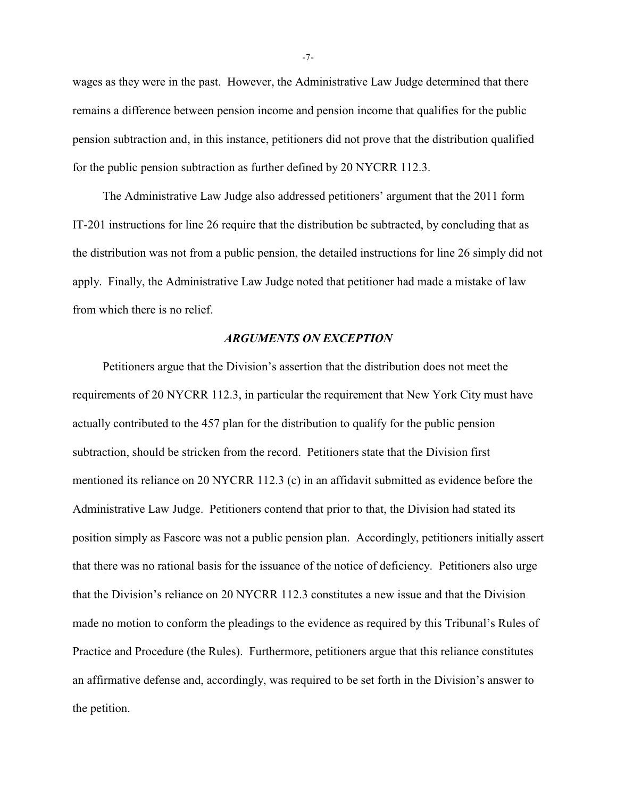wages as they were in the past. However, the Administrative Law Judge determined that there remains a difference between pension income and pension income that qualifies for the public pension subtraction and, in this instance, petitioners did not prove that the distribution qualified for the public pension subtraction as further defined by 20 NYCRR 112.3.

The Administrative Law Judge also addressed petitioners' argument that the 2011 form IT-201 instructions for line 26 require that the distribution be subtracted, by concluding that as the distribution was not from a public pension, the detailed instructions for line 26 simply did not apply. Finally, the Administrative Law Judge noted that petitioner had made a mistake of law from which there is no relief.

### *ARGUMENTS ON EXCEPTION*

Petitioners argue that the Division's assertion that the distribution does not meet the requirements of 20 NYCRR 112.3, in particular the requirement that New York City must have actually contributed to the 457 plan for the distribution to qualify for the public pension subtraction, should be stricken from the record. Petitioners state that the Division first mentioned its reliance on 20 NYCRR 112.3 (c) in an affidavit submitted as evidence before the Administrative Law Judge. Petitioners contend that prior to that, the Division had stated its position simply as Fascore was not a public pension plan. Accordingly, petitioners initially assert that there was no rational basis for the issuance of the notice of deficiency. Petitioners also urge that the Division's reliance on 20 NYCRR 112.3 constitutes a new issue and that the Division made no motion to conform the pleadings to the evidence as required by this Tribunal's Rules of Practice and Procedure (the Rules). Furthermore, petitioners argue that this reliance constitutes an affirmative defense and, accordingly, was required to be set forth in the Division's answer to the petition.

-7-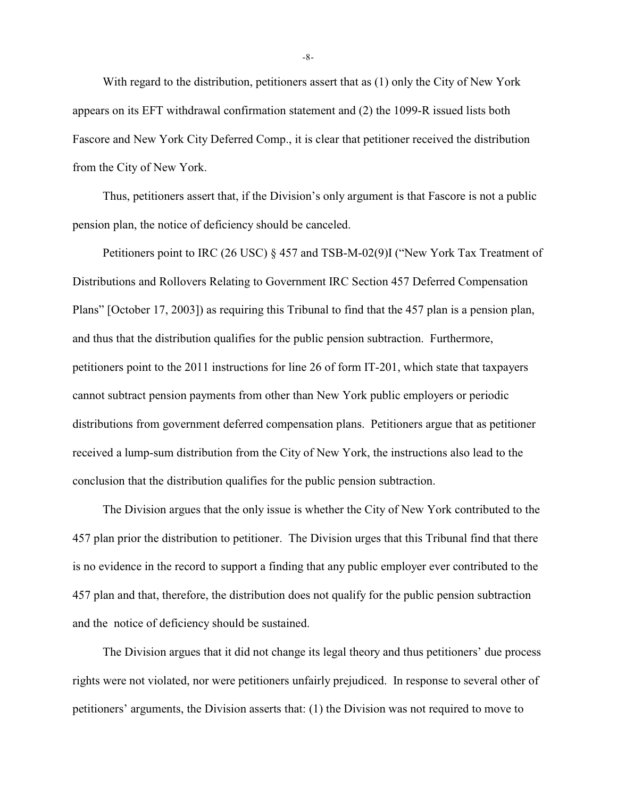With regard to the distribution, petitioners assert that as (1) only the City of New York appears on its EFT withdrawal confirmation statement and (2) the 1099-R issued lists both Fascore and New York City Deferred Comp., it is clear that petitioner received the distribution from the City of New York.

Thus, petitioners assert that, if the Division's only argument is that Fascore is not a public pension plan, the notice of deficiency should be canceled.

Petitioners point to IRC (26 USC) § 457 and TSB-M-02(9)I ("New York Tax Treatment of Distributions and Rollovers Relating to Government IRC Section 457 Deferred Compensation Plans" [October 17, 2003]) as requiring this Tribunal to find that the 457 plan is a pension plan, and thus that the distribution qualifies for the public pension subtraction. Furthermore, petitioners point to the 2011 instructions for line 26 of form IT-201, which state that taxpayers cannot subtract pension payments from other than New York public employers or periodic distributions from government deferred compensation plans. Petitioners argue that as petitioner received a lump-sum distribution from the City of New York, the instructions also lead to the conclusion that the distribution qualifies for the public pension subtraction.

The Division argues that the only issue is whether the City of New York contributed to the 457 plan prior the distribution to petitioner. The Division urges that this Tribunal find that there is no evidence in the record to support a finding that any public employer ever contributed to the 457 plan and that, therefore, the distribution does not qualify for the public pension subtraction and the notice of deficiency should be sustained.

The Division argues that it did not change its legal theory and thus petitioners' due process rights were not violated, nor were petitioners unfairly prejudiced. In response to several other of petitioners' arguments, the Division asserts that: (1) the Division was not required to move to

-8-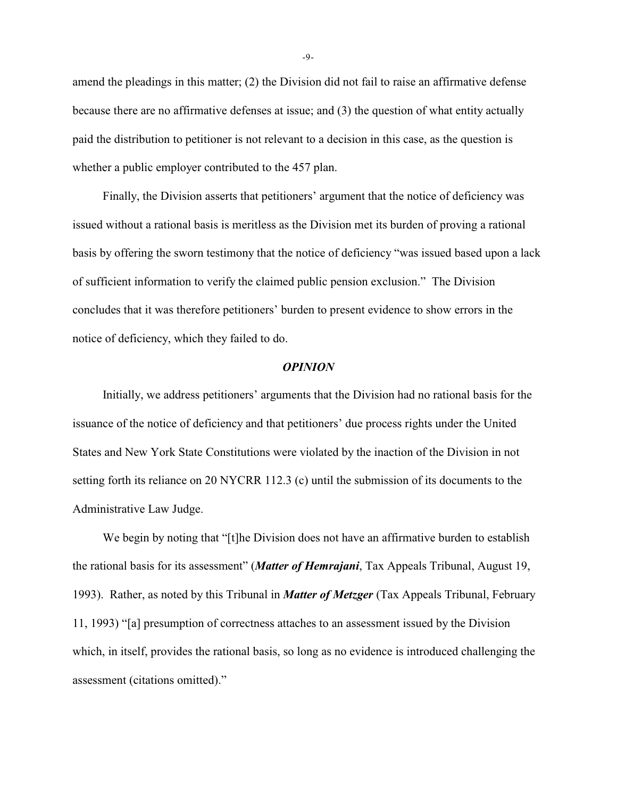amend the pleadings in this matter; (2) the Division did not fail to raise an affirmative defense because there are no affirmative defenses at issue; and (3) the question of what entity actually paid the distribution to petitioner is not relevant to a decision in this case, as the question is whether a public employer contributed to the 457 plan.

Finally, the Division asserts that petitioners' argument that the notice of deficiency was issued without a rational basis is meritless as the Division met its burden of proving a rational basis by offering the sworn testimony that the notice of deficiency "was issued based upon a lack of sufficient information to verify the claimed public pension exclusion." The Division concludes that it was therefore petitioners' burden to present evidence to show errors in the notice of deficiency, which they failed to do.

#### *OPINION*

Initially, we address petitioners' arguments that the Division had no rational basis for the issuance of the notice of deficiency and that petitioners' due process rights under the United States and New York State Constitutions were violated by the inaction of the Division in not setting forth its reliance on 20 NYCRR 112.3 (c) until the submission of its documents to the Administrative Law Judge.

We begin by noting that "[t]he Division does not have an affirmative burden to establish the rational basis for its assessment" (*Matter of Hemrajani*, Tax Appeals Tribunal, August 19, 1993). Rather, as noted by this Tribunal in *Matter of Metzger* (Tax Appeals Tribunal, February 11, 1993) "[a] presumption of correctness attaches to an assessment issued by the Division which, in itself, provides the rational basis, so long as no evidence is introduced challenging the assessment (citations omitted)."

-9-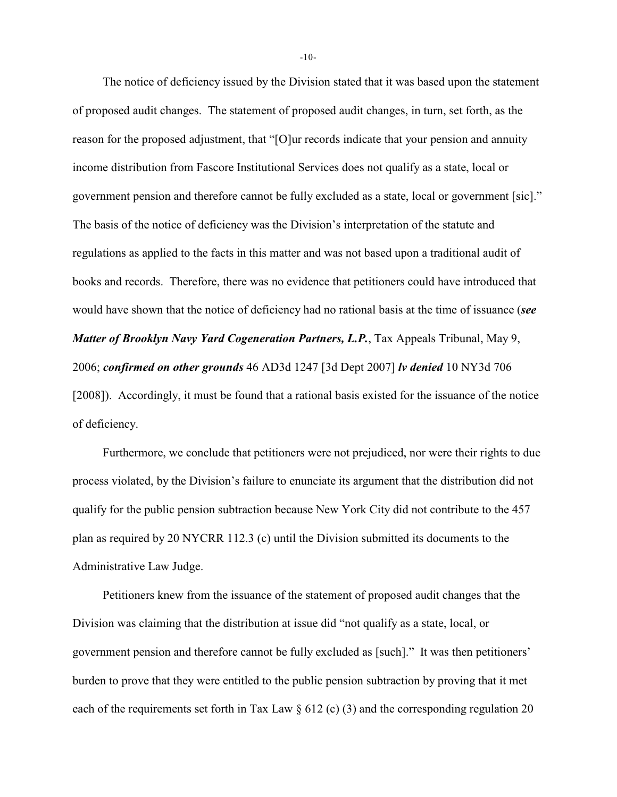The notice of deficiency issued by the Division stated that it was based upon the statement of proposed audit changes. The statement of proposed audit changes, in turn, set forth, as the reason for the proposed adjustment, that "[O]ur records indicate that your pension and annuity income distribution from Fascore Institutional Services does not qualify as a state, local or government pension and therefore cannot be fully excluded as a state, local or government [sic]." The basis of the notice of deficiency was the Division's interpretation of the statute and regulations as applied to the facts in this matter and was not based upon a traditional audit of books and records. Therefore, there was no evidence that petitioners could have introduced that would have shown that the notice of deficiency had no rational basis at the time of issuance (*see Matter of Brooklyn Navy Yard Cogeneration Partners, L.P.*, Tax Appeals Tribunal, May 9, 2006; *confirmed on other grounds* 46 AD3d 1247 [3d Dept 2007] *lv denied* 10 NY3d 706 [2008]). Accordingly, it must be found that a rational basis existed for the issuance of the notice of deficiency.

Furthermore, we conclude that petitioners were not prejudiced, nor were their rights to due process violated, by the Division's failure to enunciate its argument that the distribution did not qualify for the public pension subtraction because New York City did not contribute to the 457 plan as required by 20 NYCRR 112.3 (c) until the Division submitted its documents to the Administrative Law Judge.

Petitioners knew from the issuance of the statement of proposed audit changes that the Division was claiming that the distribution at issue did "not qualify as a state, local, or government pension and therefore cannot be fully excluded as [such]." It was then petitioners' burden to prove that they were entitled to the public pension subtraction by proving that it met each of the requirements set forth in Tax Law  $\S 612$  (c) (3) and the corresponding regulation 20

-10-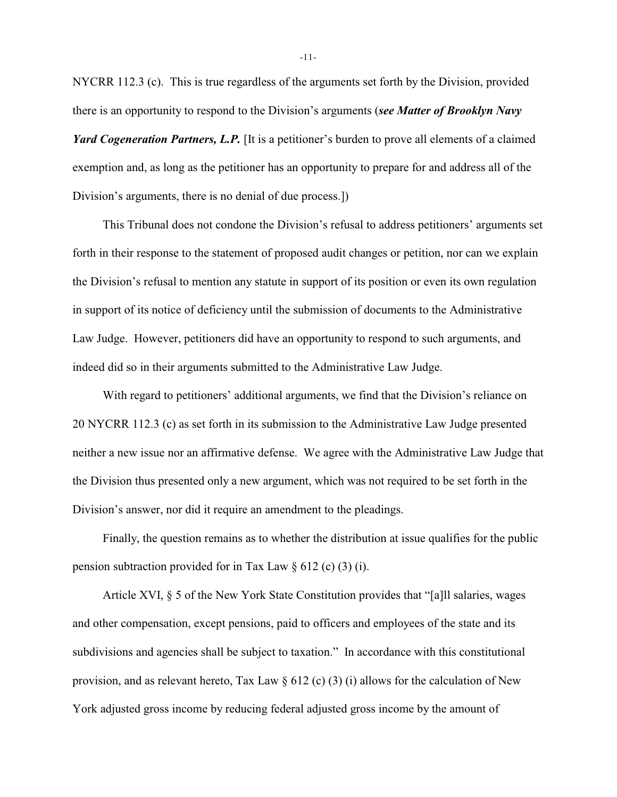NYCRR 112.3 (c). This is true regardless of the arguments set forth by the Division, provided there is an opportunity to respond to the Division's arguments (*see Matter of Brooklyn Navy*

*Yard Cogeneration Partners, L.P.* [It is a petitioner's burden to prove all elements of a claimed exemption and, as long as the petitioner has an opportunity to prepare for and address all of the Division's arguments, there is no denial of due process.])

This Tribunal does not condone the Division's refusal to address petitioners' arguments set forth in their response to the statement of proposed audit changes or petition, nor can we explain the Division's refusal to mention any statute in support of its position or even its own regulation in support of its notice of deficiency until the submission of documents to the Administrative Law Judge. However, petitioners did have an opportunity to respond to such arguments, and indeed did so in their arguments submitted to the Administrative Law Judge.

With regard to petitioners' additional arguments, we find that the Division's reliance on 20 NYCRR 112.3 (c) as set forth in its submission to the Administrative Law Judge presented neither a new issue nor an affirmative defense. We agree with the Administrative Law Judge that the Division thus presented only a new argument, which was not required to be set forth in the Division's answer, nor did it require an amendment to the pleadings.

Finally, the question remains as to whether the distribution at issue qualifies for the public pension subtraction provided for in Tax Law  $\S 612$  (c) (3) (i).

Article XVI, § 5 of the New York State Constitution provides that "[a]ll salaries, wages and other compensation, except pensions, paid to officers and employees of the state and its subdivisions and agencies shall be subject to taxation." In accordance with this constitutional provision, and as relevant hereto, Tax Law  $\S 612$  (c) (3) (i) allows for the calculation of New York adjusted gross income by reducing federal adjusted gross income by the amount of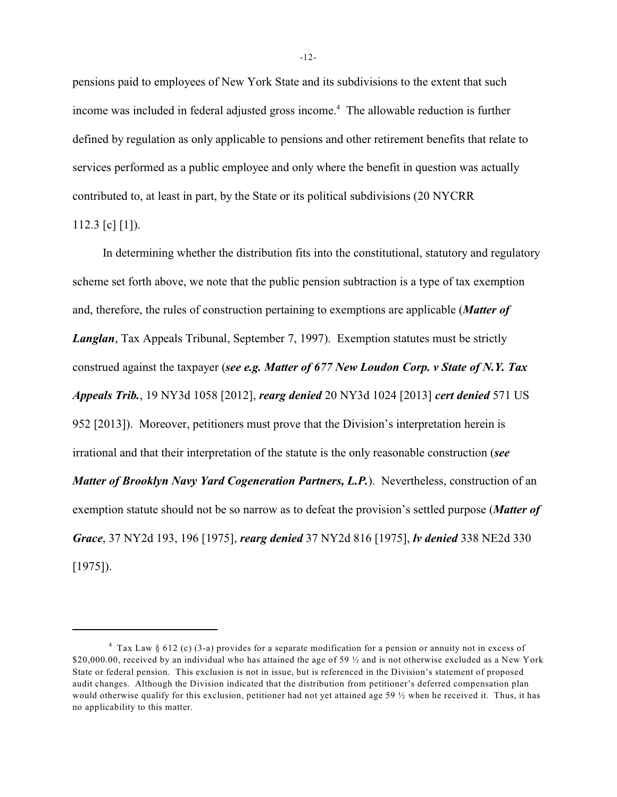pensions paid to employees of New York State and its subdivisions to the extent that such income was included in federal adjusted gross income.<sup>4</sup> The allowable reduction is further defined by regulation as only applicable to pensions and other retirement benefits that relate to services performed as a public employee and only where the benefit in question was actually contributed to, at least in part, by the State or its political subdivisions (20 NYCRR 112.3 [c]  $[1]$ ).

In determining whether the distribution fits into the constitutional, statutory and regulatory scheme set forth above, we note that the public pension subtraction is a type of tax exemption and, therefore, the rules of construction pertaining to exemptions are applicable (*Matter of Langlan*, Tax Appeals Tribunal, September 7, 1997). Exemption statutes must be strictly construed against the taxpayer (*see e.g. Matter of 677 New Loudon Corp. v State of N.Y. Tax Appeals Trib.*, 19 NY3d 1058 [2012], *rearg denied* 20 NY3d 1024 [2013] *cert denied* 571 US 952 [2013]). Moreover, petitioners must prove that the Division's interpretation herein is irrational and that their interpretation of the statute is the only reasonable construction (*see Matter of Brooklyn Navy Yard Cogeneration Partners, L.P.*). Nevertheless, construction of an exemption statute should not be so narrow as to defeat the provision's settled purpose (*Matter of Grace*, 37 NY2d 193, 196 [1975], *rearg denied* 37 NY2d 816 [1975], *lv denied* 338 NE2d 330 [1975]).

Tax Law § 612 (c) (3-a) provides for a separate modification for a pension or annuity not in excess of <sup>4</sup> \$20,000.00, received by an individual who has attained the age of 59  $\frac{1}{2}$  and is not otherwise excluded as a New York State or federal pension. This exclusion is not in issue, but is referenced in the Division's statement of proposed audit changes. Although the Division indicated that the distribution from petitioner's deferred compensation plan would otherwise qualify for this exclusion, petitioner had not yet attained age 59  $\frac{1}{2}$  when he received it. Thus, it has no applicability to this matter.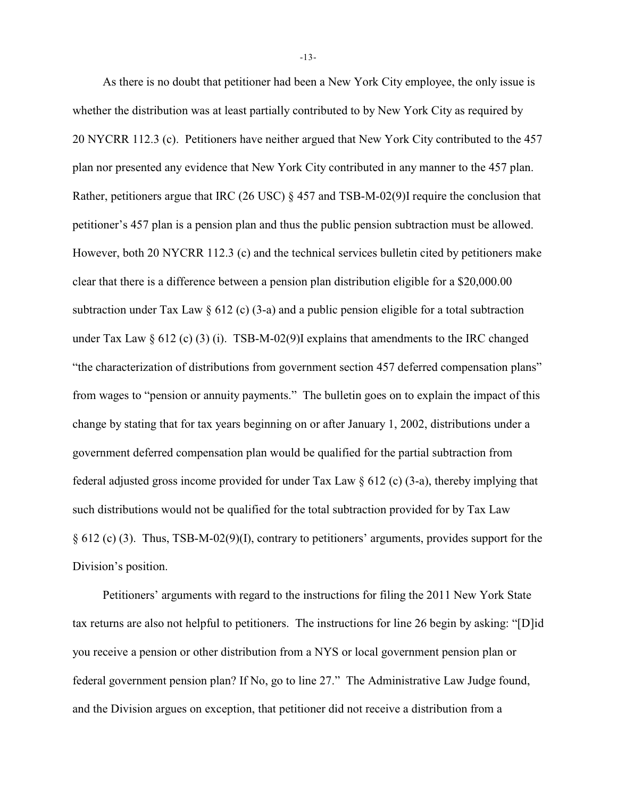As there is no doubt that petitioner had been a New York City employee, the only issue is whether the distribution was at least partially contributed to by New York City as required by 20 NYCRR 112.3 (c). Petitioners have neither argued that New York City contributed to the 457 plan nor presented any evidence that New York City contributed in any manner to the 457 plan. Rather, petitioners argue that IRC (26 USC) § 457 and TSB-M-02(9)I require the conclusion that petitioner's 457 plan is a pension plan and thus the public pension subtraction must be allowed. However, both 20 NYCRR 112.3 (c) and the technical services bulletin cited by petitioners make clear that there is a difference between a pension plan distribution eligible for a \$20,000.00 subtraction under Tax Law § 612 (c) (3-a) and a public pension eligible for a total subtraction under Tax Law  $\S 612$  (c) (3) (i). TSB-M-02(9)I explains that amendments to the IRC changed "the characterization of distributions from government section 457 deferred compensation plans" from wages to "pension or annuity payments." The bulletin goes on to explain the impact of this change by stating that for tax years beginning on or after January 1, 2002, distributions under a government deferred compensation plan would be qualified for the partial subtraction from federal adjusted gross income provided for under Tax Law § 612 (c) (3-a), thereby implying that such distributions would not be qualified for the total subtraction provided for by Tax Law § 612 (c) (3). Thus, TSB-M-02(9)(I), contrary to petitioners' arguments, provides support for the Division's position.

Petitioners' arguments with regard to the instructions for filing the 2011 New York State tax returns are also not helpful to petitioners. The instructions for line 26 begin by asking: "[D]id you receive a pension or other distribution from a NYS or local government pension plan or federal government pension plan? If No, go to line 27." The Administrative Law Judge found, and the Division argues on exception, that petitioner did not receive a distribution from a

-13-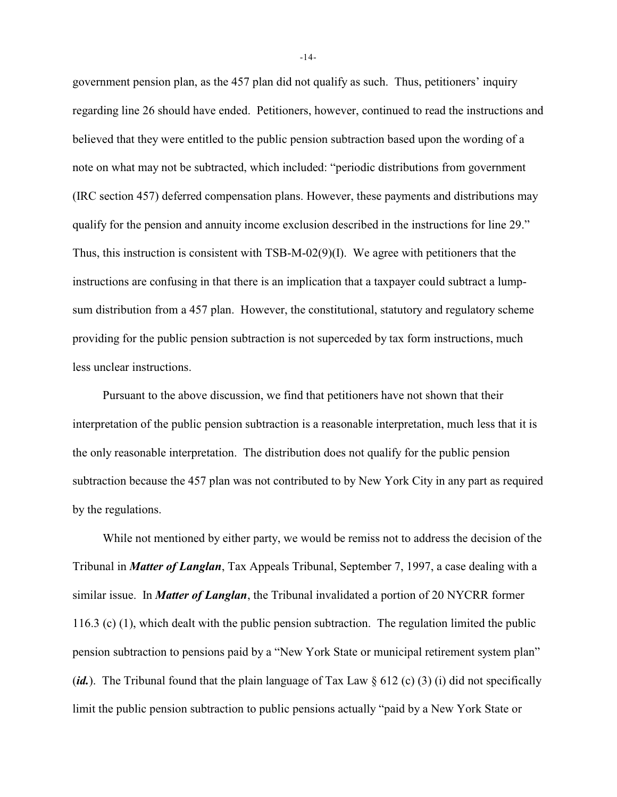government pension plan, as the 457 plan did not qualify as such. Thus, petitioners' inquiry regarding line 26 should have ended. Petitioners, however, continued to read the instructions and believed that they were entitled to the public pension subtraction based upon the wording of a note on what may not be subtracted, which included: "periodic distributions from government (IRC section 457) deferred compensation plans. However, these payments and distributions may qualify for the pension and annuity income exclusion described in the instructions for line 29." Thus, this instruction is consistent with TSB-M-02(9)(I). We agree with petitioners that the instructions are confusing in that there is an implication that a taxpayer could subtract a lumpsum distribution from a 457 plan. However, the constitutional, statutory and regulatory scheme providing for the public pension subtraction is not superceded by tax form instructions, much less unclear instructions.

Pursuant to the above discussion, we find that petitioners have not shown that their interpretation of the public pension subtraction is a reasonable interpretation, much less that it is the only reasonable interpretation. The distribution does not qualify for the public pension subtraction because the 457 plan was not contributed to by New York City in any part as required by the regulations.

While not mentioned by either party, we would be remiss not to address the decision of the Tribunal in *Matter of Langlan*, Tax Appeals Tribunal, September 7, 1997, a case dealing with a similar issue. In *Matter of Langlan*, the Tribunal invalidated a portion of 20 NYCRR former 116.3 (c) (1), which dealt with the public pension subtraction. The regulation limited the public pension subtraction to pensions paid by a "New York State or municipal retirement system plan" (*id.*). The Tribunal found that the plain language of Tax Law § 612 (c) (3) (i) did not specifically limit the public pension subtraction to public pensions actually "paid by a New York State or

-14-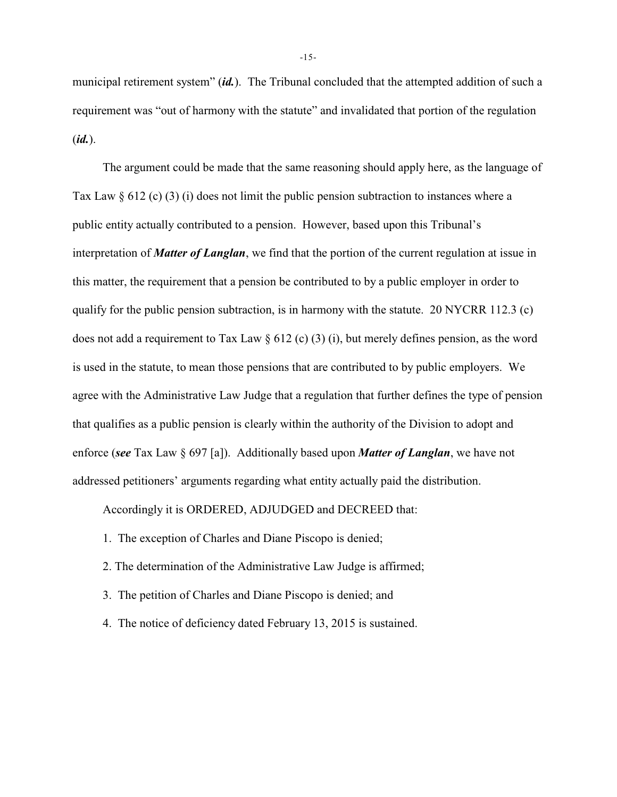municipal retirement system" (*id.*). The Tribunal concluded that the attempted addition of such a requirement was "out of harmony with the statute" and invalidated that portion of the regulation (*id.*).

The argument could be made that the same reasoning should apply here, as the language of Tax Law  $\S 612$  (c) (3) (i) does not limit the public pension subtraction to instances where a public entity actually contributed to a pension. However, based upon this Tribunal's interpretation of *Matter of Langlan*, we find that the portion of the current regulation at issue in this matter, the requirement that a pension be contributed to by a public employer in order to qualify for the public pension subtraction, is in harmony with the statute. 20 NYCRR 112.3 (c) does not add a requirement to Tax Law § 612 (c) (3) (i), but merely defines pension, as the word is used in the statute, to mean those pensions that are contributed to by public employers. We agree with the Administrative Law Judge that a regulation that further defines the type of pension that qualifies as a public pension is clearly within the authority of the Division to adopt and enforce (*see* Tax Law § 697 [a]). Additionally based upon *Matter of Langlan*, we have not addressed petitioners' arguments regarding what entity actually paid the distribution.

Accordingly it is ORDERED, ADJUDGED and DECREED that:

- 1. The exception of Charles and Diane Piscopo is denied;
- 2. The determination of the Administrative Law Judge is affirmed;
- 3. The petition of Charles and Diane Piscopo is denied; and
- 4. The notice of deficiency dated February 13, 2015 is sustained.

-15-